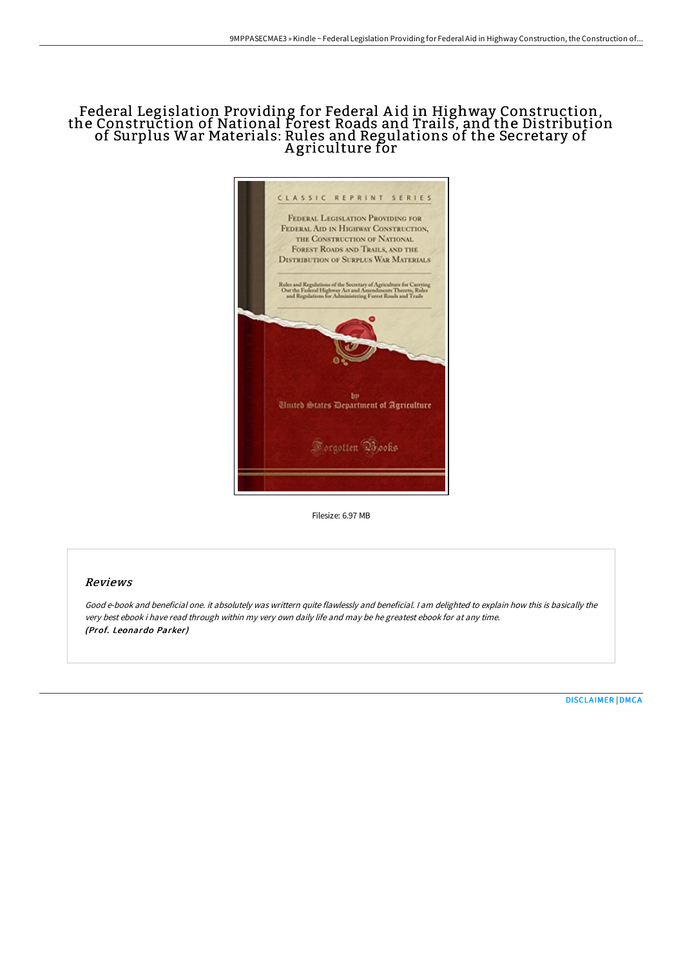# Federal Legislation Providing for Federal A id in Highway Construction, the Construction of National Forest Roads and Trails, and the Distribution of Surplus War Materials: Rules and Regulations of the Secretary of A griculture for



Filesize: 6.97 MB

### Reviews

Good e-book and beneficial one. it absolutely was writtern quite flawlessly and beneficial. <sup>I</sup> am delighted to explain how this is basically the very best ebook i have read through within my very own daily life and may be he greatest ebook for at any time. (Prof. Leonardo Parker)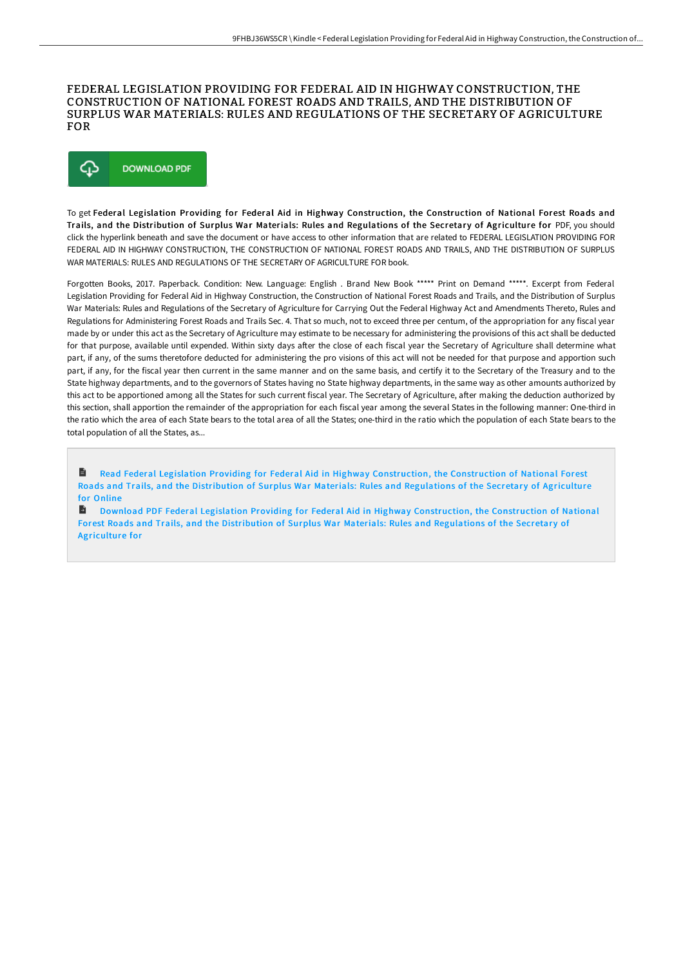#### FEDERAL LEGISLATION PROVIDING FOR FEDERAL AID IN HIGHWAY CONSTRUCTION, THE CONSTRUCTION OF NATIONAL FOREST ROADS AND TRAILS, AND THE DISTRIBUTION OF SURPLUS WAR MATERIALS: RULES AND REGULATIONS OF THE SECRETARY OF AGRICULTURE FOR



To get Federal Legislation Providing for Federal Aid in Highway Construction, the Construction of National Forest Roads and Trails, and the Distribution of Surplus War Materials: Rules and Regulations of the Secretary of Agriculture for PDF, you should click the hyperlink beneath and save the document or have access to other information that are related to FEDERAL LEGISLATION PROVIDING FOR FEDERAL AID IN HIGHWAY CONSTRUCTION, THE CONSTRUCTION OF NATIONAL FOREST ROADS AND TRAILS, AND THE DISTRIBUTION OF SURPLUS WAR MATERIALS: RULES AND REGULATIONS OF THE SECRETARY OF AGRICULTURE FOR book.

Forgotten Books, 2017. Paperback. Condition: New. Language: English . Brand New Book \*\*\*\*\* Print on Demand \*\*\*\*\*. Excerpt from Federal Legislation Providing for Federal Aid in Highway Construction, the Construction of National Forest Roads and Trails, and the Distribution of Surplus War Materials: Rules and Regulations of the Secretary of Agriculture for Carrying Out the Federal Highway Act and Amendments Thereto, Rules and Regulations for Administering Forest Roads and Trails Sec. 4. That so much, not to exceed three per centum, of the appropriation for any fiscal year made by or under this act as the Secretary of Agriculture may estimate to be necessary for administering the provisions of this act shall be deducted for that purpose, available until expended. Within sixty days after the close of each fiscal year the Secretary of Agriculture shall determine what part, if any, of the sums theretofore deducted for administering the pro visions of this act will not be needed for that purpose and apportion such part, if any, for the fiscal year then current in the same manner and on the same basis, and certify it to the Secretary of the Treasury and to the State highway departments, and to the governors of States having no State highway departments, in the same way as other amounts authorized by this act to be apportioned among all the States for such current fiscal year. The Secretary of Agriculture, after making the deduction authorized by this section, shall apportion the remainder of the appropriation for each fiscal year among the several States in the following manner: One-third in the ratio which the area of each State bears to the total area of all the States; one-third in the ratio which the population of each State bears to the total population of all the States, as...

B Read Federal Legislation Providing for Federal Aid in Highway [Construction,](http://albedo.media/federal-legislation-providing-for-federal-aid-in.html) the Construction of National Forest Roads and Trails, and the Distribution of Surplus War Materials: Rules and Regulations of the Secretary of Agriculture for Online

B Download PDF Federal Legislation Providing for Federal Aid in Highway [Construction,](http://albedo.media/federal-legislation-providing-for-federal-aid-in.html) the Construction of National Forest Roads and Trails, and the Distribution of Surplus War Materials: Rules and Regulations of the Secretary of Agriculture for